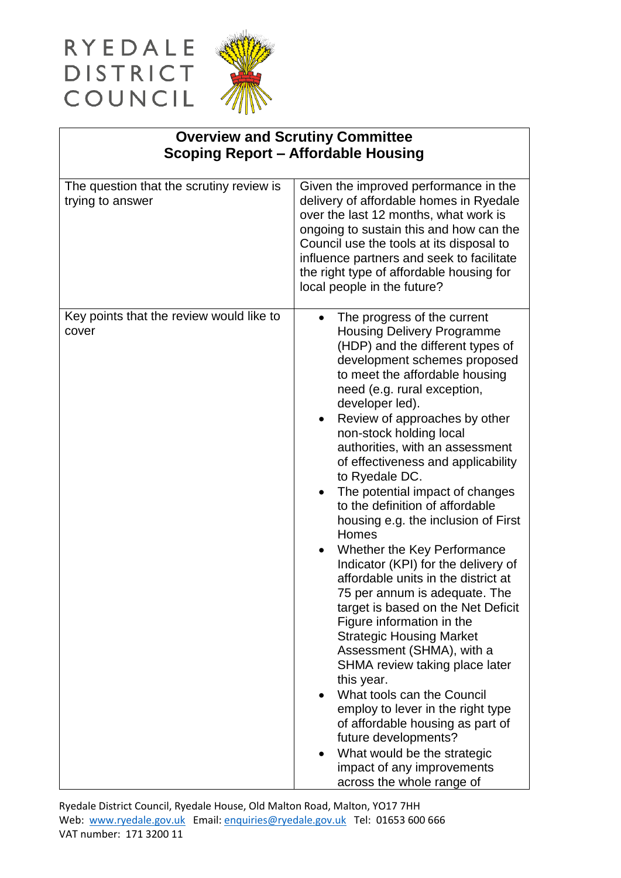## RYEDALE<br>DISTRICT<br>COUNCIL



| <b>Overview and Scrutiny Committee</b><br><b>Scoping Report - Affordable Housing</b> |                                                                                                                                                                                                                                                                                                                                                                                                                                                                                                                                                                                                                                                                                                                                                                                                                                                                                                                                                                                                                                                                 |
|--------------------------------------------------------------------------------------|-----------------------------------------------------------------------------------------------------------------------------------------------------------------------------------------------------------------------------------------------------------------------------------------------------------------------------------------------------------------------------------------------------------------------------------------------------------------------------------------------------------------------------------------------------------------------------------------------------------------------------------------------------------------------------------------------------------------------------------------------------------------------------------------------------------------------------------------------------------------------------------------------------------------------------------------------------------------------------------------------------------------------------------------------------------------|
| The question that the scrutiny review is<br>trying to answer                         | Given the improved performance in the<br>delivery of affordable homes in Ryedale<br>over the last 12 months, what work is<br>ongoing to sustain this and how can the<br>Council use the tools at its disposal to<br>influence partners and seek to facilitate<br>the right type of affordable housing for<br>local people in the future?                                                                                                                                                                                                                                                                                                                                                                                                                                                                                                                                                                                                                                                                                                                        |
| Key points that the review would like to<br>cover                                    | The progress of the current<br><b>Housing Delivery Programme</b><br>(HDP) and the different types of<br>development schemes proposed<br>to meet the affordable housing<br>need (e.g. rural exception,<br>developer led).<br>Review of approaches by other<br>non-stock holding local<br>authorities, with an assessment<br>of effectiveness and applicability<br>to Ryedale DC.<br>The potential impact of changes<br>to the definition of affordable<br>housing e.g. the inclusion of First<br>Homes<br>Whether the Key Performance<br>Indicator (KPI) for the delivery of<br>affordable units in the district at<br>75 per annum is adequate. The<br>target is based on the Net Deficit<br>Figure information in the<br><b>Strategic Housing Market</b><br>Assessment (SHMA), with a<br>SHMA review taking place later<br>this year.<br>What tools can the Council<br>employ to lever in the right type<br>of affordable housing as part of<br>future developments?<br>What would be the strategic<br>impact of any improvements<br>across the whole range of |